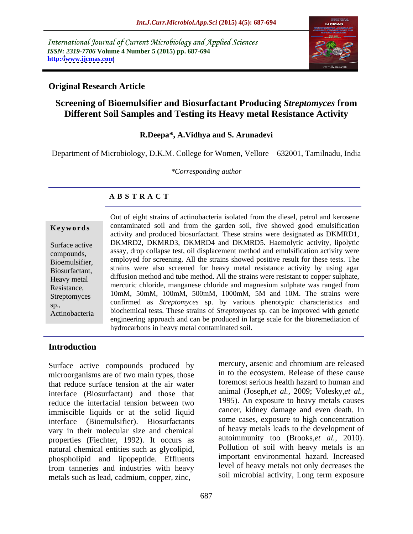International Journal of Current Microbiology and Applied Sciences *ISSN: 2319-7706* **Volume 4 Number 5 (2015) pp. 687-694 http:/[/www.ijcmas.com](http://www.ijcmas.com)**



## **Original Research Article**

# **Screening of Bioemulsifier and Biosurfactant Producing** *Streptomyces* **from Different Soil Samples and Testing its Heavy metal Resistance Activity**

### **R.Deepa\*, A.Vidhya and S. Arunadevi**

Department of Microbiology, D.K.M. College for Women, Vellore – 632001, Tamilnadu, India

*\*Corresponding author*

# **A B S T R A C T**

Actinobacteria

Out of eight strains of actinobacteria isolated from the diesel, petrol and kerosene **Keywords** contaminated soil and from the garden soil, five showed good emulsification activity and produced biosurfactant. These strains were designated as DKMRD1, Surface active DKMRD2, DKMRD3, DKMRD4 and DKMRD5. Haemolytic activity, lipolytic assay, drop collapse test, oil displacement method and emulsification activity were compounds, employed for screening. All the strains showed positive result for these tests. The Bioemulsifier, Biosurfactant, strains were also screened for heavy metal resistance activity by using agar diffusion method and tube method. All the strains were resistant to copper sulphate, Heavy metal Resistance, mercuric chloride, manganese chloride and magnesium sulphate was ranged from Streptomyces 10mM, 50mM, 100mM, 500mM, 1000mM, 5M and 10M. The strains were sp., confirmed as *Streptomyces* sp. by various phenotypic characteristics and biochemical tests. These strains of *Streptomyces* sp. can be improved with genetic engineering approach and can be produced in large scale for the bioremediation of hydrocarbons in heavy metal contaminated soil.

# **Introduction**

Surface active compounds produced by microorganisms are of two main types, those that reduce surface tension at the air water interface (Biosurfactant) and those that reduce the interfacial tension between two immiscible liquids or at the solid liquid interface (Bioemulsifier). Biosurfactants vary in their molecular size and chemical properties (Fiechter, 1992). It occurs as natural chemical entities such as glycolipid, phospholipid and lipopeptide. Effluents from tanneries and industries with heavy metals such as lead, cadmium, copper, zinc,

mercury, arsenic and chromium are released in to the ecosystem. Release of these cause foremost serious health hazard to human and animal (Joseph,*et al.,* 2009; Volesky,*et al.,* 1995). An exposure to heavy metals causes cancer, kidney damage and even death. In some cases, exposure to high concentration of heavy metals leads to the development of autoimmunity too (Brooks,*et al.,* 2010). Pollution of soil with heavy metals is an important environmental hazard. Increased level of heavy metals not only decreases the soil microbial activity, Long term exposure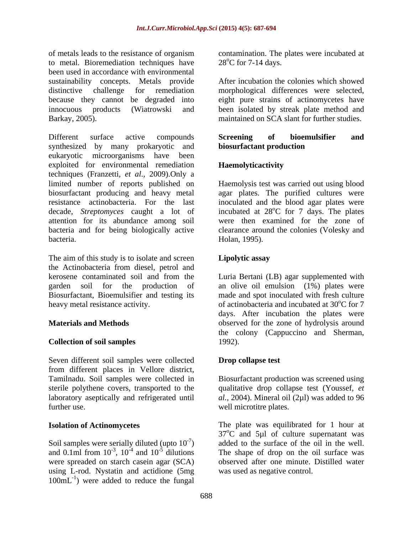of metals leads to the resistance of organism contamination. The plates were incubated at to metal. Bioremediation techniques have been used in accordance with environmental sustainability concepts. Metals provide After incubation the colonies which showed distinctive challenge for remediation morphological differences were selected, because they cannot be degraded into eight pure strains of actinomycetes have innocuous products (Wiatrowski and been isolated by streak plate method and Barkay, 2005). maintained on SCA slant for further studies.

Different surface active compounds Screening of bioemulsifier and synthesized by many prokaryotic and **biosurfactant production** eukaryotic microorganisms have been exploited for environmental remediation **Haemolyticactivity** techniques (Franzetti, *et al*., 2009).Only a limited number of reports published on biosurfactant producing and heavy metal agar plates. The purified cultures were resistance actinobacteria. For the last inoculated and the blood agar plates were decade, *Streptomyces* caught a lot of incubated at 28 attention for its abundance among soil were then examined for the zone of bacteria and for being biologically active clearance around the colonies (Volesky and bacteria. Holan, 1995).

The aim of this study is to isolate and screen **Lipolytic assay** the Actinobacteria from diesel, petrol and kerosene contaminated soil and from the Luria Bertani (LB) agar supplemented with garden soil for the production of an olive oil emulsion (1%) plates were Biosurfactant, Bioemulsifier and testing its

### **Collection of soil samples**

Seven different soil samples were collected from different places in Vellore district, further use. well microtitre plates.

Soil samples were serially diluted (upto  $10^{-7}$ )<br>and 0.1ml from  $10^{-3}$ ,  $10^{-4}$  and  $10^{-5}$  dilutions using L-rod. Nystatin and actidione (5mg 100mL-1 ) were added to reduce the fungal

 $28^{\circ}$ C for 7-14 days.

# **Screening of bioemulsifier and biosurfactant production**

# **Haemolyticactivity**

Haemolysis test was carried out using blood oC for 7 days. The plates

# **Lipolytic assay**

heavy metal resistance activity.  $\qquad \qquad$  of actinobacteria and incubated at 30°C for 7 **Materials and Methods** observed for the zone of hydrolysis around made and spot inoculated with fresh culture days. After incubation the plates were the colony (Cappuccino and Sherman, 1992).

### **Drop collapse test**

Tamilnadu. Soil samples were collected in Biosurfactant production was screened using sterile polythene covers, transported to the qualitative drop collapse test (Youssef, *et*  laboratory aseptically and refrigerated until *al.*, 2004). Mineral oil (2µl) was added to 96

**Isolation of Actinomycetes** The plate was equilibrated for 1 hour at ) added to the surface of the oil in the well. and 0.1ml from  $10^{-3}$ ,  $10^{-4}$  and  $10^{-5}$  dilutions The shape of drop on the oil surface was were spreaded on starch casein agar (SCA) observed after one minute. Distilled water  $37^{\circ}$ C and 5ul of culture supernatant was was used as negative control.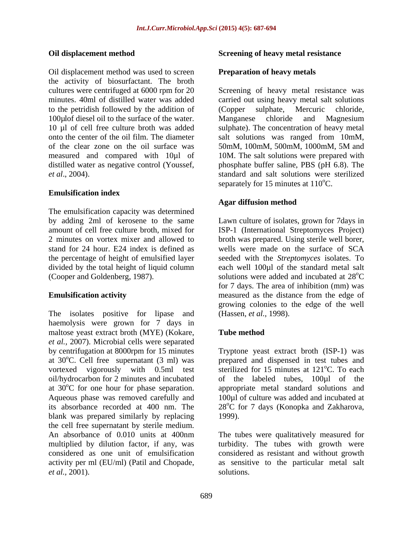Oil displacement method was used to screen the activity of biosurfactant. The broth cultures were centrifuged at 6000 rpm for 20 cultures were centrifuged at 6000 rpm for 20 Screening of heavy metal resistance was minutes. 40ml of distilled water was added carried out using heavy metal salt solutions to the petridish followed by the addition of (Copper sulphate, Mercuric chloride, 100µlof diesel oil to the surface of the water. Manganese chloride and Magnesium 10 µl of cell free culture broth was added sulphate). The concentration of heavy metal onto the center of the oil film. The diameter salt solutions was ranged from 10mM, of the clear zone on the oil surface was 50mM, 100mM, 500mM, 1000mM, 5M and measured and compared with 10µl of distilled water as negative control (Youssef, *et al*., 2004). standard and salt solutions were sterilized

### **Emulsification index**

The emulsification capacity was determined by adding 2ml of kerosene to the same Lawn culture of isolates, grown for 7days in amount of cell free culture broth, mixed for ISP-1 (International Streptomyces Project) 2 minutes on vortex mixer and allowed to broth was prepared. Using sterile well borer, stand for 24 hour. E24 index is defined as wells were made on the surface of SCA the percentage of height of emulsified layer seeded with the *Streptomyces* isolates. To divided by the total height of liquid column each well 100µl of the standard metal salt

The isolates positive for lipase and haemolysis were grown for 7 days in maltose yeast extract broth (MYE) (Kokare, Tube method *et al.,* 2007). Microbial cells were separated by centrifugation at 8000rpm for 15 minutes at 30°C. Cell free supernatant (3 ml) was prepared and dispensed in test tubes and vortexed vigorously with 0.5ml test oil/hydrocarbon for 2 minutes and incubated of the labeled tubes, 100µl of the at  $30^{\circ}$ C for one hour for phase separation. appropriate metal standard solutions and Aqueous phase was removed carefully and  $100\mu$ l of culture was added and incubated at its absorbance recorded at 400 nm. The 28°C for 7 days (Konopka and Zakharova, blank was prepared similarly by replacing 1999). the cell free supernatant by sterile medium.<br>An absorbance of 0.010 units at 400nm An absorbance of 0.010 units at 400nm The tubes were qualitatively measured for multiplied by dilution factor, if any, was turbidity. The tubes with growth were considered as one unit of emulsification considered as resistant and without growth activity per ml (EU/ml) (Patil and Chopade, as sensitive to the particular metal salt *et al.,* 2001).

### **Oil displacement method Screening of heavy metal resistance**

### **Preparation of heavy metals**

(Copper sulphate, Mercuric chloride, Manganese chloride and Magnesium 50mM, 100mM, 500mM, 1000mM, 5M and 10M. The salt solutions were prepared with phosphate buffer saline, PBS (pH 6.8). The separately for 15 minutes at  $110^{\circ}$ C.

### **Agar diffusion method**

(Cooper and Goldenberg, 1987). Solutions were added and incubated at 28<sup>o</sup>C **Emulsification activity** measured as the distance from the edge of <sup>o</sup>C for 7 days. The area of inhibition (mm) was growing colonies to the edge of the well (Hassen, *et al.,* 1998).

### **Tube method**

Tryptone yeast extract broth (ISP-1) was prepared and dispensed in test tubes and sterilized for 15 minutes at 121<sup>o</sup>C. To each <sup>o</sup>C. To each 28<sup>o</sup>C for 7 days (Konopka and Zakharova,<br>1999).

solutions.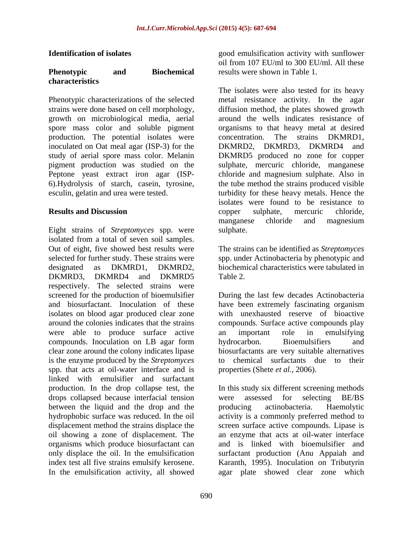### **Phenotypic and Biochemical characteristics**

growth on microbiological media, aerial spore mass color and soluble pigment production. The potential isolates were inoculated on Oat meal agar (ISP-3) for the DKMRD2, DKMRD3, DKMRD4 and Peptone yeast extract iron agar (ISP-

Eight strains of *Streptomyces* spp. were isolated from a total of seven soil samples. Out of eight, five showed best results were The strains can be identified as *Streptomyces* selected for further study. These strains were spp. under Actinobacteria by phenotypic and designated as DKMRD1, DKMRD2, biochemical characteristics were tabulated in DKMRD3, DKMRD4 and DKMRD5 Table 2. respectively. The selected strains were screened for the production of bioemulsifier During the last few decades Actinobacteria and biosurfactant. Inoculation of these have been extremely fascinating organism isolates on blood agar produced clear zone around the colonies indicates that the strains compounds. Surface active compounds play were able to produce surface active an important role in emulsifying compounds. Inoculation on LB agar form bydrocarbon. Bioemulsifiers and compounds. Inoculation on LB agar form bydrocarbon. Bioemulsifiers and clear zone around the colony indicates lipase is the enzyme produced by the *Streptomyces*  spp. that acts at oil-water interface and is linked with emulsifier and surfactant drops collapsed because interfacial tension were assessed for selecting BE/BS between the liquid and the drop and the producing actinobacteria. Haemolytic oil showing a zone of displacement. The organisms which produce biosurfactant can

**Identification of isolates** extended a good emulsification activity with sunflower oil from 107 EU/ml to 300 EU/ml. All these results were shown in Table 1.

Phenotypic characterizations of the selected metal resistance activity. In the agar strains were done based on cell morphology, diffusion method, the plates showed growth study of aerial spore mass color. Melanin DKMRD5 produced no zone for copper pigment production was studied on the sulphate, mercuric chloride, manganese 6).Hydrolysis of starch, casein, tyrosine, the tube method the strains produced visible esculin, gelatin and urea were tested. turbidity for these heavy metals. Hence the **Results and Discussion COPPE EXECUTE: COPPE EXECUTE: COPPE EXECUTE: COPPE EXECUTE: COPPE EXECUTE: COPPE EXECUTE: COPPE EXECUTE: COPPE EXECUTE: COPPE EXECUTE: COPPE EXECUTE: COPPE** The isolates were also tested for its heavy around the wells indicates resistance of organisms to that heavy metal at desired The strains DKMRD1, DKMRD2, DKMRD3, DKMRD4 and chloride and magnesium sulphate. Also in isolates were found to be resistance to copper sulphate, mercuric chloride, manganese chloride and magnesium sulphate.

Table 2.

have been extremely fascinating organism with unexhausted reserve of bioactive an important role in emulsifying hydrocarbon. Bioemulsifiers and biosurfactants are very suitable alternatives to chemical surfactants due to their properties (Shete *et al.,* 2006).

production. In the drop collapse test, the In this study six different screening methods hydrophobic surface was reduced. In the oil activity is a commonly preferred method to displacement method the strains displace the screen surface active compounds. Lipase is only displace the oil. In the emulsification surfactant production (Anu Appaiah and index test all five strains emulsify kerosene. Karanth, 1995). Inoculation on Tributyrin In the emulsification activity, all showed agar plate showed clear zone whichwere assessed for selecting BE/BS producing actinobacteria. Haemolytic an enzyme that acts at oil-water interface and is linked with bioemulsifier and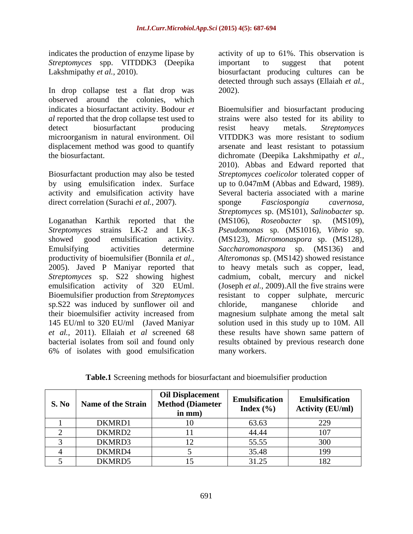*Streptomyces* spp. VITDDK3 (Deepika important to suggest that potent

In drop collapse test a flat drop was 2002). observed around the colonies, which microorganism in natural environment. Oil displacement method was good to quantify arsenate and least resistant to potassium

Biosurfactant production may also be tested by using emulsification index. Surface up to 0.047mM (Abbas and Edward, 1989). direct correlation (Surachi *et al., 2007*). sponge *Fasciospongia cavernosa,* 

Loganathan Karthik reported that the (MS106), Roseobacter sp. (MS109), sp.S22 was induced by sunflower oil and chloride, manganese chloride and 6% of isolates with good emulsification

indicates the production of enzyme lipase by activity of up to 61%. This observation is Lakshmipathy *et al.*, 2010). biosurfactant producing cultures can be important to suggest that potent detected through such assays (Ellaiah *et al.,* 2002).

indicates a biosurfactant activity. Bodour *et*  Bioemulsifier and biosurfactant producing *al* reported that the drop collapse test used to strains were also tested for its ability to detect biosurfactant producing resist heavy metals. Streptomyces the biosurfactant. dichromate (Deepika Lakshmipathy *et al.,* activity and emulsification activity have Several bacteria associated with a marine *Streptomyces* strains LK-2 and LK-3 *Pseudomonas* sp. (MS1016), *Vibrio* sp. showed good emulsification activity. (MS123), *Micromonaspora* sp. (MS128), Emulsifying activities determine *Saccharomonaspora* sp. (MS136) and productivity of bioemulsifier (Bonnila *et al., Alteromonas* sp. (MS142) showed resistance 2005). Javed P Maniyar reported that to heavy metals such as copper, lead, *Streptomyces* sp. S22 showing highest cadmium, cobalt, mercury and nickel emulsification activity of 320 EUml. (Joseph *et al.,* 2009).All the five strains were Bioemulsifier production from *Streptomyces* resistant to copper sulphate, mercuric their bioemulsifier activity increased from magnesium sulphate among the metal salt 145 EU/ml to 320 EU/ml (Javed Maniyar solution used in this study up to 10M. All *et al.,* 2011). Ellaiah *et al* screened 68 these results have shown same pattern of bacterial isolates from soil and found only results obtained by previous research done resist heavy metals. *Streptomyces*  VITDDK3 was more resistant to sodium arsenate and least resistant to potassium 2010). Abbas and Edward reported that *Streptomyces coelicolor* tolerated copper of up to 0.047mM (Abbas and Edward, 1989). sponge *Fasciospongia cavernosa, Streptomyces* sp. (MS101), *Salinobacter* sp. (MS106), *Roseobacter* sp. (MS109), chloride, manganese chloride and many workers.

| S. No | Name of the Strain | <b>Oil Displacement</b><br><b>Method (Diameter</b><br>in mm) | Emulsification<br>Index $(\% )$ | Emulsification<br><b>Activity (EU/ml)</b> |
|-------|--------------------|--------------------------------------------------------------|---------------------------------|-------------------------------------------|
|       | DKMRD1             |                                                              | 63.63                           | 229                                       |
|       | DKMRD2             |                                                              | 44.44                           |                                           |
|       | DKMRD3             |                                                              | 55.55                           |                                           |
|       | DKMRD4             |                                                              | 35.48                           |                                           |
|       | DKMRD5             |                                                              | 31.25                           | 182                                       |

**Table.1** Screening methods for biosurfactant and bioemulsifier production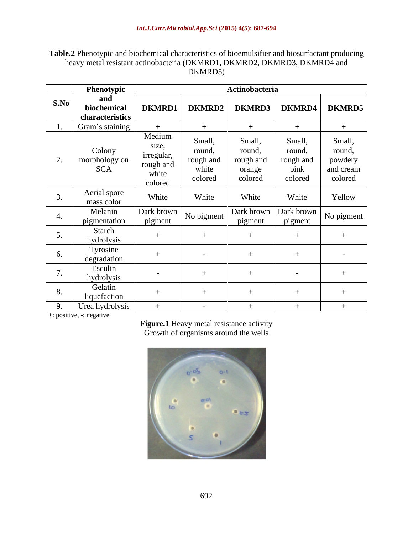## **Table.2** Phenotypic and biochemical characteristics of bioemulsifier and biosurfactant producing heavy metal resistant actinobacteria (DKMRD1, DKMRD2, DKMRD3, DKMRD4 and DKMRD5) DKMRD5)

|      | Phenotypic                     | Actinobacteria  |            |            |            |               |
|------|--------------------------------|-----------------|------------|------------|------------|---------------|
| S.No | and                            |                 |            |            |            |               |
|      | biochemical<br>characteristics | <b>DKMRD1</b>   | DKMRD2     | DKMRD3     |            | DKMRD4 DKMRD5 |
|      | Gram's staining                |                 |            |            |            | $+$           |
|      |                                |                 |            |            |            |               |
|      |                                | Medium<br>size, | Small,     | Small,     | Small,     | Small,        |
|      | Colony                         | irregular,      | round,     | round,     | round,     | round,        |
|      | morphology on                  | rough and       | rough and  | rough and  | rough and  | powdery       |
|      | <b>SCA</b>                     | white           | white      | orange     | pink       | and cream     |
|      |                                | colored         | colored    | colored    | colored    | colored       |
|      | Aerial spore                   | White           | White      | White      | White      | Yellow        |
|      | mass color                     |                 |            |            |            |               |
|      | Melanin                        | Dark brown      | No pigment | Dark brown | Dark brown | No pigment    |
|      | pigmentation                   | pigment         |            | pigment    | pigment    |               |
|      | Starch                         |                 |            |            |            |               |
|      | hydrolysis                     |                 |            |            |            |               |
|      | Tyrosine                       |                 |            |            |            |               |
|      | degradation                    |                 |            |            |            |               |
|      | Esculin                        | $\sim$ $-$      |            |            |            |               |
|      | hydrolysis                     |                 |            |            |            |               |
|      | Gelatin                        |                 |            |            |            |               |
|      | liquefaction                   |                 |            |            |            |               |
|      | Urea hydrolysis                |                 | $\sim$     |            |            |               |

+: positive, -: negative

Figure.1 Heavy metal resistance activity Growth of organisms around the wells

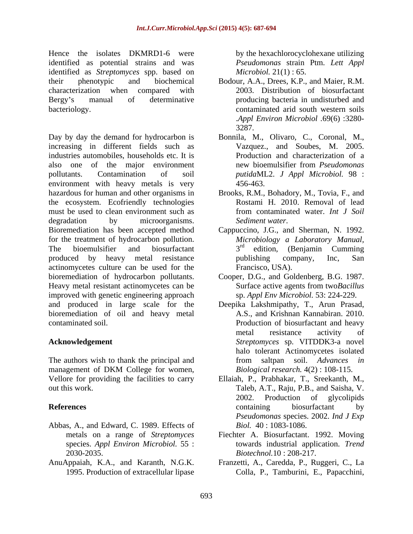Hence the isolates DKMRD1-6 were identified as potential strains and was identified as *Streptomyces* spp. based on their phenotypic and biochemical Bodour, A.A., Drees, K.P., and Maier, R.M. characterization when compared with 2003. Distribution of biosurfactant Bergy's manual of determinative producing bacteria in undisturbed and bacteriology. contaminated arid south western soils

Day by day the demand for hydrocarbon is Bonnila, M., Olivaro, C., Coronal, M., increasing in different fields such as industries automobiles, households etc. It is also one of the major environment also new bioemulsifier from *Pseudomonas* pollutants. Contamination of soil *putida*ML2. *J Appl Microbiol.* 98 : environment with heavy metals is very  $456-463$ . hazardous for human and other organisms in Brooks, R.M., Bohadory, M., Tovia, F., and the ecosystem. Ecofriendly technologies must be used to clean environment such as from contaminated water. Int J Soil degradation by microorganisms. Sediment water. Bioremediation has been accepted method Cappuccino, J.G., and Sherman, N. 1992. for the treatment of hydrocarbon pollution.  $Mic$ <br>The bioemulsifier and biosurfactant  $3<sup>rd</sup>$ The bioemulsifier and biosurfactant  $3^{ra}$  edition, (Benjamin Cumming produced by heavy metal resistance by publishing company, Inc. San actinomycetes culture can be used for the bioremediation of hydrocarbon pollutants. Cooper, D.G., and Goldenberg, B.G. 1987. Heavy metal resistant actinomycetes can be Surface active agents from two Bacillus improved with genetic engineering approach and produced in large scale for the Deepika Lakshmipathy, T., Arun Prasad, bioremediation of oil and heavy metal contaminated soil. Production of biosurfactant and heavy

management of DKM College for women, Biological research.  $4(2)$ : 108-115.

- Abbas, A., and Edward, C. 1989. Effects of species. *Appl Environ Microbiol.* 55 :
- 

by the hexachlorocyclohexane utilizing *Pseudomonas* strain Ptm. *Lett Appl Microbiol.* 21(1) : 65.

- .*Appl Environ Microbiol .*69(6) :3280- 3287.
- Vazquez., and Soubes, M. 2005. Production and characterization of a new bioemulsifier from *Pseudomonas*  456-463.
- Rostami H. 2010. Removal of lead from contaminated water. *Int J Soil Sediment water*.
- *Microbiology a Laboratory Manual,* 3<sup>rd</sup> edition, (Benjamin Cumming <sup>rd</sup> edition, (Benjamin Cumming publishing company, Inc, San Francisco, USA).
- Surface active agents from two*Bacillus*  sp. *Appl Env Microbiol.* 53: 224-229.
- **Acknowledgement** *Streptomyces* sp. VITDDK3-a novel The authors wish to thank the principal and from saltpan soil. Advances in A.S., and Krishnan Kannabiran. 2010. metal resistance activity of halo tolerant Actinomycetes isolated from saltpan soil. *Advances in Biological research.* 4(2) : 108-115.
- Vellore for providing the facilities to carry Ellaiah, P., Prabhakar, T., Sreekanth, M., out this work. Taleb, A.T., Raju, P.B., and Saisha, V. **References** biosurfactant by 2002. Production of glycolipids containing biosurfactant by *Pseudomonas* species. 2002. *Ind J Exp Biol.* 40 : 1083-1086.
	- metals on a range of *Streptomyces*  Fiechter A. Biosurfactant. 1992. Moving 2030-2035. *Biotechnol.*10 : 208-217. towards industrial application. *Trend*
- AnuAppaiah, K.A., and Karanth, N.G.K. Franzetti, A., Caredda, P., Ruggeri, C., La 1995. Production of extracellular lipase Colla, P., Tamburini, E., Papacchini,